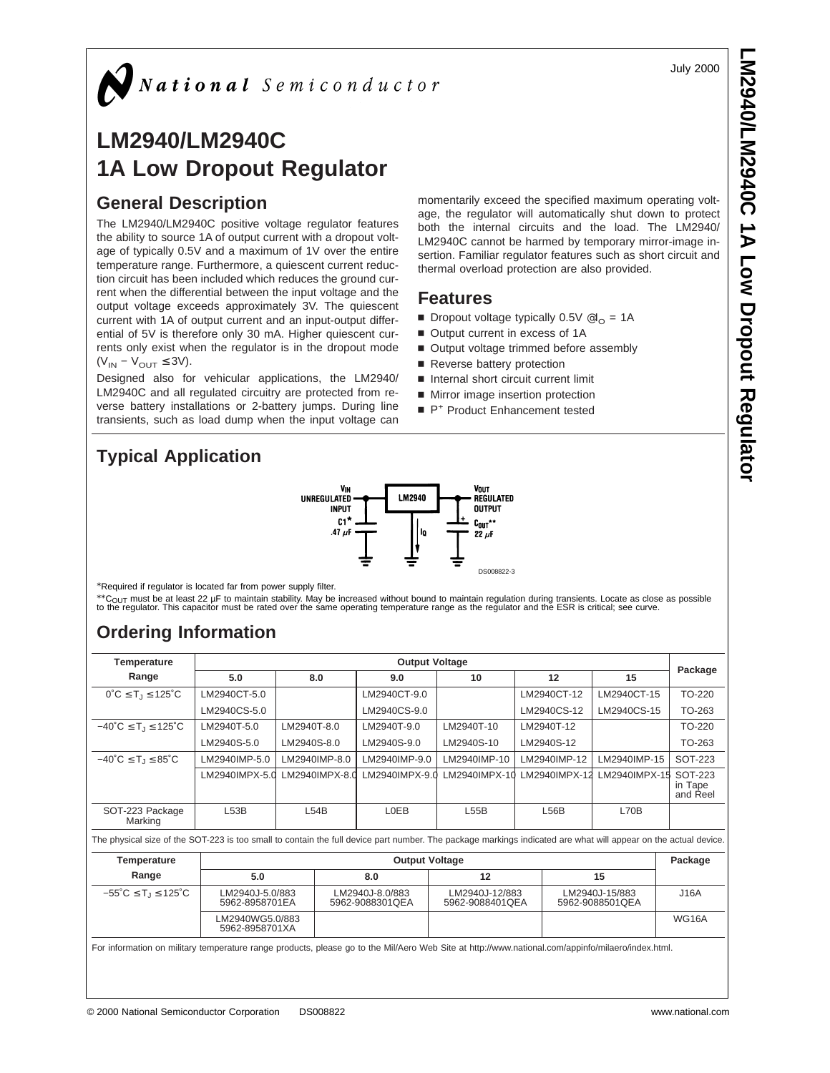July 2000

**LM2940/LM2940C**

 **1A Low Dropout Regulator**

# **LM2940/LM2940C 1A Low Dropout Regulator**

# **General Description**

The LM2940/LM2940C positive voltage regulator features the ability to source 1A of output current with a dropout voltage of typically 0.5V and a maximum of 1V over the entire temperature range. Furthermore, a quiescent current reduction circuit has been included which reduces the ground current when the differential between the input voltage and the output voltage exceeds approximately 3V. The quiescent current with 1A of output current and an input-output differential of 5V is therefore only 30 mA. Higher quiescent currents only exist when the regulator is in the dropout mode  $(V_{IN} - V_{OUT} \leq 3V).$ 

Designed also for vehicular applications, the LM2940/ LM2940C and all regulated circuitry are protected from reverse battery installations or 2-battery jumps. During line transients, such as load dump when the input voltage can

**Typical Application**



\*Required if regulator is located far from power supply filter.

\*\*C<sub>OUT</sub> must be at least 22 µF to maintain stability. May be increased without bound to maintain regulation during transients. Locate as close as possible<br>to the regulator. This capacitor must be rated over the same opera

# **Ordering Information**

| <b>Temperature</b>                                                                                                                                              | <b>Output Voltage</b>             |             |                |                                    |                                   |  |               |                                   |                                |
|-----------------------------------------------------------------------------------------------------------------------------------------------------------------|-----------------------------------|-------------|----------------|------------------------------------|-----------------------------------|--|---------------|-----------------------------------|--------------------------------|
| Range                                                                                                                                                           | 5.0                               |             | 8.0            | 9.0                                | 10                                |  | 12            | 15                                | Package                        |
| $0^{\circ}C \leq T_1 \leq 125^{\circ}C$                                                                                                                         | LM2940CT-5.0                      |             |                | LM2940CT-9.0                       |                                   |  | LM2940CT-12   | LM2940CT-15                       | TO-220                         |
|                                                                                                                                                                 | LM2940CS-5.0                      |             |                | LM2940CS-9.0                       |                                   |  | LM2940CS-12   | LM2940CS-15                       | TO-263                         |
| $-40^{\circ}C \leq T_1 \leq 125^{\circ}C$                                                                                                                       | LM2940T-5.0                       | LM2940T-8.0 |                | LM2940T-9.0                        | LM2940T-10                        |  | LM2940T-12    |                                   | TO-220                         |
|                                                                                                                                                                 | LM2940S-5.0                       | LM2940S-8.0 |                | LM2940S-9.0                        | LM2940S-10                        |  | LM2940S-12    |                                   | TO-263                         |
| $-40^{\circ}C \le T_1 \le 85^{\circ}C$                                                                                                                          | LM2940IMP-5.0                     |             | LM2940IMP-8.0  | LM2940IMP-9.0                      | LM2940IMP-10                      |  | LM2940IMP-12  | LM2940IMP-15                      | SOT-223                        |
|                                                                                                                                                                 | LM2940IMPX-5.0                    |             | LM2940IMPX-8.0 | LM2940IMPX-9.0                     | $LM2940IMPX-10$                   |  | LM2940IMPX-12 | LM2940IMPX-15                     | SOT-223<br>in Tape<br>and Reel |
| SOT-223 Package<br>Marking                                                                                                                                      | L53B                              |             | L54B           | L0EB                               | L55B                              |  | L56B          | L70B                              |                                |
| The physical size of the SOT-223 is too small to contain the full device part number. The package markings indicated are what will appear on the actual device. |                                   |             |                |                                    |                                   |  |               |                                   |                                |
| <b>Temperature</b>                                                                                                                                              |                                   |             |                | <b>Output Voltage</b>              |                                   |  |               |                                   | Package                        |
| Range                                                                                                                                                           | 5.0                               |             |                | 8.0<br>12                          |                                   |  |               | 15                                |                                |
| $-55^{\circ}$ C $\leq$ T <sub>1</sub> $\leq$ 125 $^{\circ}$ C<br>LM2940J-5.0/883<br>5962-8958701EA                                                              |                                   |             |                | LM2940J-8.0/883<br>5962-9088301QEA | LM2940J-12/883<br>5962-9088401QEA |  |               | LM2940J-15/883<br>5962-9088501QEA | J16A                           |
|                                                                                                                                                                 | LM2940WG5.0/883<br>5962-8958701XA |             |                |                                    |                                   |  |               |                                   | <b>WG16A</b>                   |
| For information on military temperature range products, please go to the Mil/Aero Web Site at http://www.national.com/appinfo/milaero/index.html.               |                                   |             |                |                                    |                                   |  |               |                                   |                                |

momentarily exceed the specified maximum operating voltage, the regulator will automatically shut down to protect both the internal circuits and the load. The LM2940/ LM2940C cannot be harmed by temporary mirror-image insertion. Familiar regulator features such as short circuit and thermal overload protection are also provided.

## **Features**

- Dropout voltage typically  $0.5V \otimes I_{\odot} = 1A$
- Output current in excess of 1A
- Output voltage trimmed before assembly
- Reverse battery protection
- Internal short circuit current limit
- Mirror image insertion protection
- P<sup>+</sup> Product Enhancement tested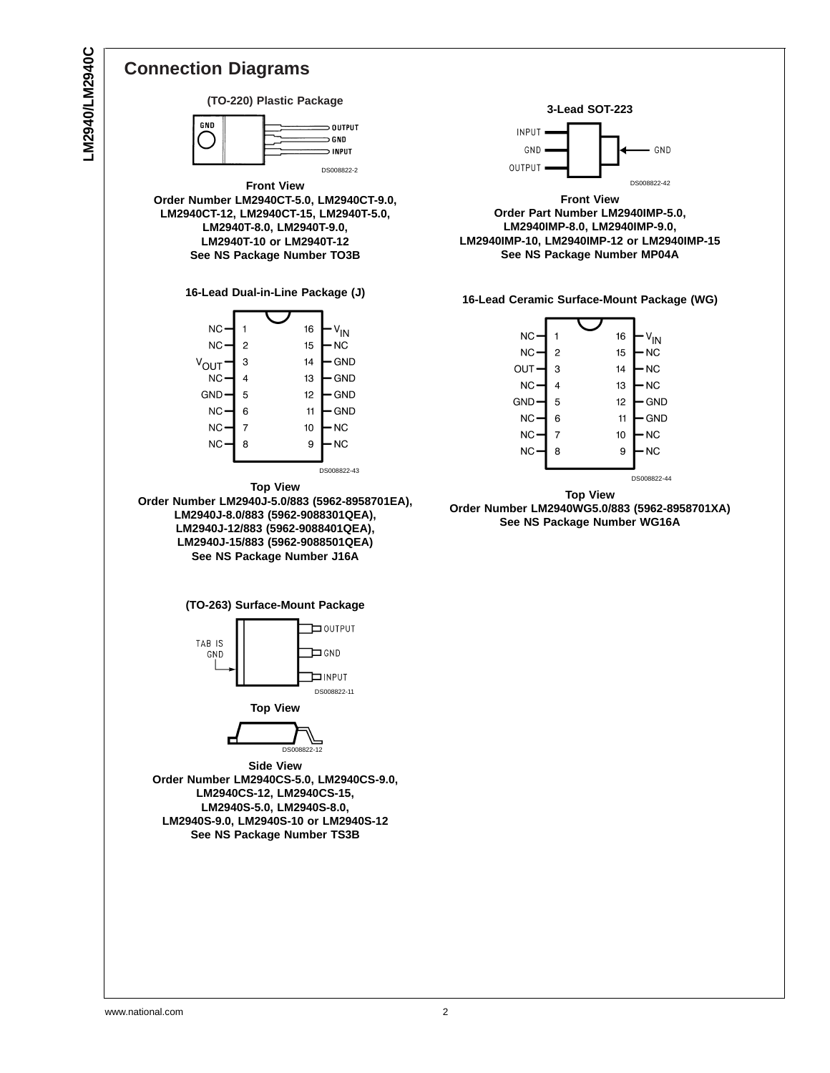LM2940/LM2940C **LM2940/LM2940C**



**Order Number LM2940WG5.0/883 (5962-8958701XA) See NS Package Number WG16A**

GND

 $\cdot$   $\vee$ <sub>IN</sub>

 $N<sub>C</sub>$ 

NC-

· NC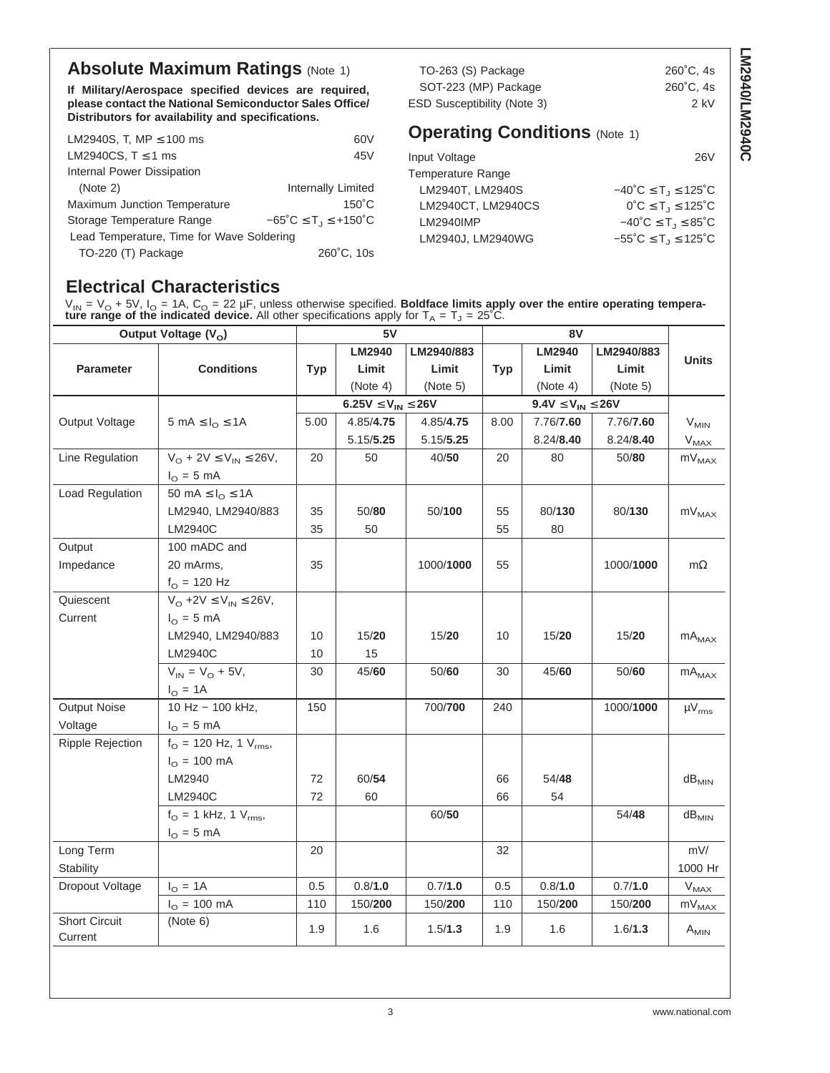# **Absolute Maximum Ratings (Note 1)**

**If Military/Aerospace specified devices are required, please contact the National Semiconductor Sales Office/ Distributors for availability and specifications.**

| LM2940S, T, MP $\leq$ 100 ms              | 60V                                      |
|-------------------------------------------|------------------------------------------|
| LM2940CS, $T \le 1$ ms                    | 45V                                      |
| Internal Power Dissipation                |                                          |
| (Note 2)                                  | Internally Limited                       |
| Maximum Junction Temperature              | $150^{\circ}$ C                          |
| Storage Temperature Range                 | $-65^{\circ}C \le T_J \le +150^{\circ}C$ |
| Lead Temperature, Time for Wave Soldering |                                          |
| TO-220 (T) Package                        | 260°C. 10s                               |

TO-263 (S) Package 260°C, 4s SOT-223 (MP) Package 260°C, 4s ESD Susceptibility (Note 3) 2 kV

Input Voltage 26V

**LM2940/LM2940C**

LM2940/LM2940C

| Temperature Range  |                                                               |
|--------------------|---------------------------------------------------------------|
| LM2940T. LM2940S   | $-40^{\circ}C \leq T_1 \leq 125^{\circ}C$                     |
| LM2940CT. LM2940CS | $0^{\circ}C \leq T_1 \leq 125^{\circ}C$                       |
| LM2940IMP          | $-40^{\circ}$ C $\leq$ T <sub>.1</sub> $\leq$ 85 $^{\circ}$ C |
| LM2940J, LM2940WG  | $-55^{\circ}C \le T_J \le 125^{\circ}C$                       |

# **Electrical Characteristics**

 $V_{\text{IN}}$  =  $V_{\text{O}}$  + 5V,  $I_{\text{O}}$  = 1A,  $C_{\text{O}}$  = 22 µF, unless otherwise specified. **Boldface limits apply over the entire operating temperature range of the indicated device.** All other specifications apply for  $T_A = T_J = 25^{\circ}$ C.

| Output Voltage (V <sub>o</sub> ) |                                                            |            | 5V                           |            |            |                             |            |                            |
|----------------------------------|------------------------------------------------------------|------------|------------------------------|------------|------------|-----------------------------|------------|----------------------------|
|                                  |                                                            |            | <b>LM2940</b>                | LM2940/883 |            | LM2940                      | LM2940/883 |                            |
| <b>Parameter</b>                 | <b>Conditions</b>                                          | <b>Typ</b> | Limit                        | Limit      | <b>Typ</b> | Limit                       | Limit      | <b>Units</b>               |
|                                  |                                                            |            | (Note 4)                     | (Note 5)   |            | (Note 4)                    | (Note 5)   |                            |
|                                  |                                                            |            | $6.25V \leq V_{IN} \leq 26V$ |            |            | $9.4V \leq V_{IN} \leq 26V$ |            |                            |
| Output Voltage                   | $5 \text{ mA} \leq I_{\Omega} \leq 1 \text{ A}$            | 5.00       | 4.85/4.75                    | 4.85/4.75  | 8.00       | 7.76/7.60                   | 7.76/7.60  | $V_{MIN}$                  |
|                                  |                                                            |            | 5.15/5.25                    | 5.15/5.25  |            | 8.24/8.40                   | 8.24/8.40  | $V_{MAX}$                  |
| Line Regulation                  | $V_O$ + 2V $\leq$ $V_{IN}$ $\leq$ 26V,                     | 20         | 50                           | 40/50      | 20         | 80                          | 50/80      | $mV_{MAX}$                 |
|                                  | $I_{\odot}$ = 5 mA                                         |            |                              |            |            |                             |            |                            |
| <b>Load Regulation</b>           | 50 mA $\leq I_{\Omega} \leq 1$ A                           |            |                              |            |            |                             |            |                            |
|                                  | LM2940, LM2940/883                                         | 35         | 50/80                        | 50/100     | 55         | 80/130                      | 80/130     | $mV_{MAX}$                 |
|                                  | LM2940C                                                    | 35         | 50                           |            | 55         | 80                          |            |                            |
| Output                           | 100 mADC and                                               |            |                              |            |            |                             |            |                            |
| Impedance                        | 20 mArms,                                                  | 35         |                              | 1000/1000  | 55         |                             | 1000/1000  | $m\Omega$                  |
|                                  | $f_{\rm O}$ = 120 Hz                                       |            |                              |            |            |                             |            |                            |
| Quiescent                        | $V_O$ +2V $\leq$ $V_{IN}$ $\leq$ 26V,                      |            |                              |            |            |                             |            |                            |
| Current                          | $I_{\Omega} = 5$ mA                                        |            |                              |            |            |                             |            |                            |
|                                  | LM2940, LM2940/883                                         | 10         | 15/20                        | 15/20      | 10         | 15/20                       | 15/20      | $\mathsf{mA}_\mathsf{MAX}$ |
|                                  | LM2940C                                                    | 10         | 15                           |            |            |                             |            |                            |
|                                  | $V_{IN} = V_{O} + 5V,$                                     | 30         | 45/60                        | 50/60      | 30         | 45/60                       | 50/60      | $mA_{MAX}$                 |
|                                  | $I_{\odot} = 1A$                                           |            |                              |            |            |                             |            |                            |
| <b>Output Noise</b>              | 10 Hz - 100 kHz.                                           | 150        |                              | 700/700    | 240        |                             | 1000/1000  | $\mu V_{rms}$              |
| Voltage                          | $IO = 5 mA$                                                |            |                              |            |            |                             |            |                            |
| Ripple Rejection                 | $f_{\text{O}} = 120 \text{ Hz}, 1 \text{ V}_{\text{rms}},$ |            |                              |            |            |                             |            |                            |
|                                  | $I_{\Omega} = 100 \text{ mA}$                              |            |                              |            |            |                             |            |                            |
|                                  | LM2940                                                     | 72         | 60/54                        |            | 66         | 54/48                       |            | $dB_{MIN}$                 |
|                                  | LM2940C                                                    | 72         | 60                           |            | 66         | 54                          |            |                            |
|                                  | $f_{\rm O} = 1$ kHz, 1 $V_{\rm rms}$ ,                     |            |                              | 60/50      |            |                             | 54/48      | $dB_{MIN}$                 |
|                                  | $I_{\odot}$ = 5 mA                                         |            |                              |            |            |                             |            |                            |
| Long Term                        |                                                            | 20         |                              |            | 32         |                             |            | mV/                        |
| Stability                        |                                                            |            |                              |            |            |                             |            | 1000 Hr                    |
| Dropout Voltage                  | $I_{\text{O}} = 1A$                                        | 0.5        | 0.8/1.0                      | 0.7/1.0    | 0.5        | 0.8/1.0                     | 0.7/1.0    | $V_{MAX}$                  |
|                                  | $I_{\odot} = 100 \text{ mA}$                               | 110        | 150/200                      | 150/200    | 110        | 150/200                     | 150/200    | $mV_{MAX}$                 |
| <b>Short Circuit</b><br>Current  | (Note 6)                                                   | 1.9        | 1.6                          | 1.5/1.3    | 1.9        | 1.6                         | 1.6/1.3    | $A_{MIN}$                  |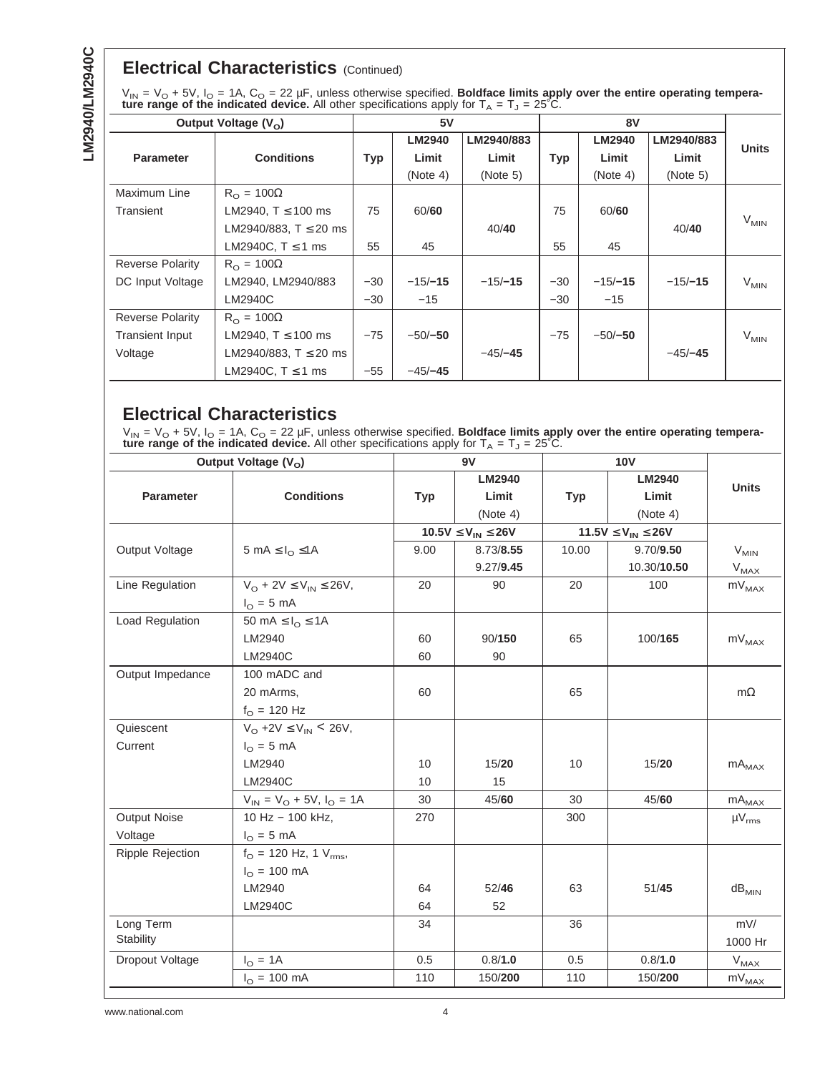# **Electrical Characteristics** (Continued)

| $V_{IN} = V_O + 5V$ , $I_O = 1A$ , $C_O = 22 \mu F$ , unless otherwise specified. Boldface limits apply over the entire operating tempera- |
|--------------------------------------------------------------------------------------------------------------------------------------------|
| <b>ture range of the indicated device.</b> All other specifications apply for $T_A = T_J = 25^{\circ}C$ .                                  |

| Output Voltage $(V_0)$  |                           | 5V    |               |            |            |               |            |              |
|-------------------------|---------------------------|-------|---------------|------------|------------|---------------|------------|--------------|
|                         |                           |       | <b>LM2940</b> | LM2940/883 |            | <b>LM2940</b> | LM2940/883 | <b>Units</b> |
| <b>Parameter</b>        | <b>Conditions</b>         | Typ   | Limit         | Limit      | <b>Typ</b> | Limit         | Limit      |              |
|                         |                           |       | (Note 4)      | (Note 5)   |            | (Note 4)      | (Note 5)   |              |
| Maximum Line            | $R_{\Omega} = 100\Omega$  |       |               |            |            |               |            |              |
| Transient               | LM2940, $T \le 100$ ms    | 75    | 60/60         |            | 75         | 60/60         |            |              |
|                         | LM2940/883, $T \le 20$ ms |       |               | 40/40      |            |               | 40/40      | $V_{MIN}$    |
|                         | LM2940C, $T \le 1$ ms     | 55    | 45            |            | 55         | 45            |            |              |
| <b>Reverse Polarity</b> | $R_{\Omega} = 100\Omega$  |       |               |            |            |               |            |              |
| DC Input Voltage        | LM2940, LM2940/883        | $-30$ | $-15/-15$     | $-15/-15$  | $-30$      | $-15/-15$     | $-15/-15$  | $V_{MIN}$    |
|                         | LM2940C                   | $-30$ | $-15$         |            | $-30$      | $-15$         |            |              |
| <b>Reverse Polarity</b> | $R_{\Omega} = 100\Omega$  |       |               |            |            |               |            |              |
| <b>Transient Input</b>  | LM2940, $T \le 100$ ms    | $-75$ | $-50/-50$     |            | $-75$      | $-50/-50$     |            | $V_{MIN}$    |
| Voltage                 | LM2940/883, $T \le 20$ ms |       |               | $-45/-45$  |            |               | $-45/-45$  |              |
|                         | LM2940C, $T \le 1$ ms     | $-55$ | $-45/-45$     |            |            |               |            |              |

# **Electrical Characteristics**

 $V_{\text{IN}}$  =  $V_{\text{O}}$  + 5V,  $I_{\text{O}}$  = 1A,  $C_{\text{O}}$  = 22 µF, unless otherwise specified. **Boldface limits apply over the entire operating temperature range of the indicated device.** All other specifications apply for  $T_A = T_J = 25^{\circ}$ C.

|                         | Output Voltage (V <sub>o</sub> )               |            | 9V                                                         |            |                              |                              |
|-------------------------|------------------------------------------------|------------|------------------------------------------------------------|------------|------------------------------|------------------------------|
|                         |                                                |            | <b>LM2940</b>                                              |            | <b>LM2940</b>                | <b>Units</b>                 |
| <b>Parameter</b>        | <b>Conditions</b>                              | <b>Typ</b> | Limit                                                      | <b>Typ</b> | Limit                        |                              |
|                         |                                                |            | (Note 4)                                                   |            | (Note 4)                     |                              |
|                         |                                                |            | $10.5 \text{V} \leq \text{V}_{\text{IN}} \leq 26 \text{V}$ |            | $11.5V \leq V_{IN} \leq 26V$ |                              |
| Output Voltage          | 5 mA $\leq$ $I_{\Omega} \leq 1$ A              | 9.00       | 8.73/8.55                                                  | 10.00      | 9.70/9.50                    | $V_{MIN}$                    |
|                         |                                                |            | 9.27/9.45                                                  |            | 10.30/10.50                  | $V_{MAX}$                    |
| Line Regulation         | $V_O$ + 2V $\leq$ $V_{IN}$ $\leq$ 26V,         | 20         | 90                                                         | 20         | 100                          | $mV_{MAX}$                   |
|                         | $I_{\odot}$ = 5 mA                             |            |                                                            |            |                              |                              |
| Load Regulation         | 50 mA $\leq I_{\Omega} \leq 1$ A               |            |                                                            |            |                              |                              |
|                         | LM2940                                         | 60         | 90/150                                                     | 65         | 100/165                      | $mV_{MAX}$                   |
|                         | LM2940C                                        | 60         | 90                                                         |            |                              |                              |
| Output Impedance        | 100 mADC and                                   |            |                                                            |            |                              |                              |
|                         | 20 mArms,                                      | 60         |                                                            | 65         |                              | $m\Omega$                    |
|                         | $f_{\rm O} = 120$ Hz                           |            |                                                            |            |                              |                              |
| Quiescent               | $V_{\Omega}$ +2V $\leq$ V <sub>IN</sub> < 26V, |            |                                                            |            |                              |                              |
| Current                 | $I_{\Omega} = 5$ mA                            |            |                                                            |            |                              |                              |
|                         | LM2940                                         | 10         | 15/20                                                      | 10         | 15/20                        | $mA_{\text{MAX}}$            |
|                         | LM2940C                                        | 10         | 15                                                         |            |                              |                              |
|                         | $V_{IN} = V_{O} + 5V$ , $I_{O} = 1A$           | 30         | 45/60                                                      | 30         | 45/60                        | $mA_{MAX}$                   |
| Output Noise            | 10 Hz - 100 kHz,                               | 270        |                                                            | 300        |                              | $\mu V_{rms}$                |
| Voltage                 | $I_{\Omega} = 5$ mA                            |            |                                                            |            |                              |                              |
| <b>Ripple Rejection</b> | $f_{\text{O}} = 120$ Hz, 1 $V_{\text{rms}}$ ,  |            |                                                            |            |                              |                              |
|                         | $I_{\odot} = 100 \text{ mA}$                   |            |                                                            |            |                              |                              |
|                         | LM2940                                         | 64         | 52/46                                                      | 63         | 51/45                        | $dB_{MIN}$                   |
|                         | LM2940C                                        | 64         | 52                                                         |            |                              |                              |
| Long Term               |                                                | 34         |                                                            | 36         |                              | mV/                          |
| Stability               |                                                |            |                                                            |            |                              | 1000 Hr                      |
| Dropout Voltage         | $I_{\odot} = 1A$                               | 0.5        | 0.8/1.0                                                    | 0.5        | 0.8/1.0                      | $V_{MAX}$                    |
|                         | $I_{\odot} = 100 \text{ mA}$                   | 110        | 150/200                                                    | 110        | 150/200                      | $\mathsf{mV}_{\mathsf{MAX}}$ |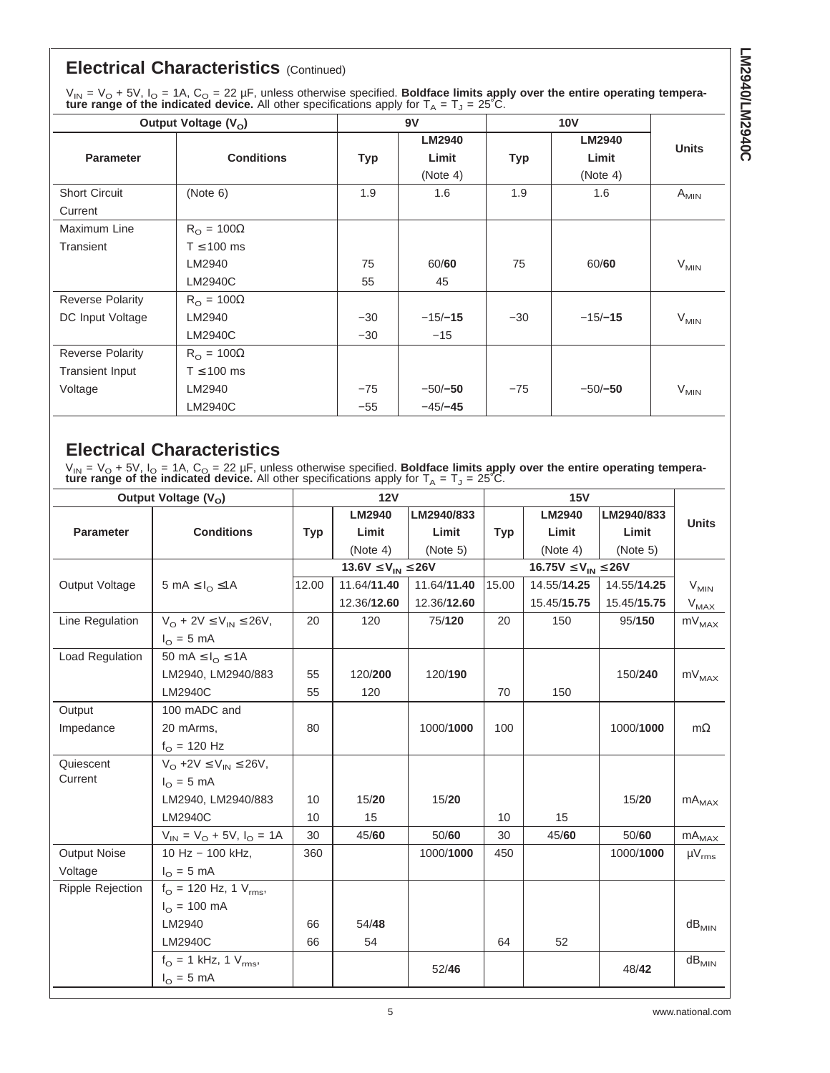# **Electrical Characteristics** (Continued)

 $V_{\text{IN}}$  =  $V_{\text{O}}$  + 5V,  $I_{\text{O}}$  = 1A,  $C_{\text{O}}$  = 22 µF, unless otherwise specified. **Boldface limits apply over the entire operating temperature range of the indicated device.** All other specifications apply for  $T_A = T_J = 25^{\circ}$ C.

| Output Voltage $(V_0)$  |                          |            | 9V            |       |               |              |
|-------------------------|--------------------------|------------|---------------|-------|---------------|--------------|
|                         |                          |            | <b>LM2940</b> |       | <b>LM2940</b> | <b>Units</b> |
| <b>Parameter</b>        | <b>Conditions</b>        | <b>Typ</b> | Limit         | Typ   | Limit         |              |
|                         |                          |            | (Note 4)      |       | (Note 4)      |              |
| <b>Short Circuit</b>    | (Note 6)                 | 1.9        | 1.6           | 1.9   | 1.6           | $A_{MIN}$    |
| Current                 |                          |            |               |       |               |              |
| Maximum Line            | $R_{\Omega} = 100\Omega$ |            |               |       |               |              |
| Transient               | $T \leq 100$ ms          |            |               |       |               |              |
|                         | LM2940                   | 75         | 60/60         | 75    | 60/60         | $V_{MIN}$    |
|                         | LM2940C                  | 55         | 45            |       |               |              |
| <b>Reverse Polarity</b> | $R_{\Omega} = 100\Omega$ |            |               |       |               |              |
| DC Input Voltage        | LM2940                   | $-30$      | $-15/-15$     | $-30$ | $-15/-15$     | $V_{MIN}$    |
|                         | LM2940C                  | $-30$      | $-15$         |       |               |              |
| <b>Reverse Polarity</b> | $R_{\Omega} = 100\Omega$ |            |               |       |               |              |
| <b>Transient Input</b>  | $T \leq 100$ ms          |            |               |       |               |              |
| Voltage                 | LM2940                   | $-75$      | $-50/-50$     | $-75$ | $-50/-50$     | $V_{MIN}$    |
|                         | LM2940C                  | $-55$      | $-45/-45$     |       |               |              |

# **Electrical Characteristics**

 $V_{\text{IN}} = V_{\text{O}} + 5V$ ,  $I_{\text{O}} = 1$ A,  $C_{\text{O}} = 22 \mu$ F, unless otherwise specified. **Boldface limits apply over the entire operating temperature range of the indicated device.** All other specifications apply for  $T_A = T_J = 25^{\circ}$ C.

| Output Voltage (V <sub>o</sub> ) |                                        |            | 12V                           |             |            |                                |             |               |
|----------------------------------|----------------------------------------|------------|-------------------------------|-------------|------------|--------------------------------|-------------|---------------|
|                                  |                                        |            | <b>LM2940</b>                 | LM2940/833  |            | <b>LM2940</b>                  | LM2940/833  | <b>Units</b>  |
| <b>Parameter</b>                 | <b>Conditions</b>                      | <b>Typ</b> | Limit                         | Limit       | <b>Typ</b> | Limit                          | Limit       |               |
|                                  |                                        |            | (Note 4)                      | (Note 5)    |            | (Note 4)                       | (Note 5)    |               |
|                                  |                                        |            | 13.6 $V \leq V_{IN} \leq 26V$ |             |            | 16.75 $V \leq V_{IN} \leq 26V$ |             |               |
| Output Voltage                   | 5 mA $\leq$ $I_{\Omega} \leq 1$ A      | 12.00      | 11.64/11.40                   | 11.64/11.40 | 15.00      | 14.55/14.25                    | 14.55/14.25 | $V_{MIN}$     |
|                                  |                                        |            | 12.36/12.60                   | 12.36/12.60 |            | 15.45/15.75                    | 15.45/15.75 | $V_{MAX}$     |
| Line Regulation                  | $V_O$ + 2V $\leq$ $V_{IN}$ $\leq$ 26V, | 20         | 120                           | 75/120      | 20         | 150                            | 95/150      | $mV_{MAX}$    |
|                                  | $I_{\Omega} = 5$ mA                    |            |                               |             |            |                                |             |               |
| Load Regulation                  | 50 mA $\leq I_{\Omega} \leq 1$ A       |            |                               |             |            |                                |             |               |
|                                  | LM2940, LM2940/883                     | 55         | 120/200                       | 120/190     |            |                                | 150/240     | $mV_{MAX}$    |
|                                  | LM2940C                                | 55         | 120                           |             | 70         | 150                            |             |               |
| Output                           | 100 mADC and                           |            |                               |             |            |                                |             |               |
| Impedance                        | 20 mArms,                              | 80         |                               | 1000/1000   | 100        |                                | 1000/1000   | $m\Omega$     |
|                                  | $f_{\Omega}$ = 120 Hz                  |            |                               |             |            |                                |             |               |
| Quiescent                        | $V_O$ +2V $\leq$ $V_{IN}$ $\leq$ 26V,  |            |                               |             |            |                                |             |               |
| Current                          | $I_{\Omega} = 5$ mA                    |            |                               |             |            |                                |             |               |
|                                  | LM2940, LM2940/883                     | 10         | 15/20                         | 15/20       |            |                                | 15/20       | $mA_{MAX}$    |
|                                  | LM2940C                                | 10         | 15                            |             | 10         | 15                             |             |               |
|                                  | $V_{IN} = V_{O} + 5V, I_{O} = 1A$      | 30         | 45/60                         | 50/60       | 30         | 45/60                          | 50/60       | $mA_{MAX}$    |
| <b>Output Noise</b>              | 10 Hz - 100 kHz.                       | 360        |                               | 1000/1000   | 450        |                                | 1000/1000   | $\mu V_{rms}$ |
| Voltage                          | $I_{\Omega} = 5 \text{ mA}$            |            |                               |             |            |                                |             |               |
| <b>Ripple Rejection</b>          | $f_{\Omega}$ = 120 Hz, 1 $V_{rms}$ ,   |            |                               |             |            |                                |             |               |
|                                  | $I_{\Omega} = 100 \text{ mA}$          |            |                               |             |            |                                |             |               |
|                                  | LM2940                                 | 66         | 54/48                         |             |            |                                |             | $dB_{MIN}$    |
|                                  | LM2940C                                | 66         | 54                            |             | 64         | 52                             |             |               |
|                                  | $f_{\rm O} = 1$ kHz, 1 $V_{\rm rms}$ , |            |                               | 52/46       |            |                                | 48/42       | $dB_{MIN}$    |
|                                  | $I_{\odot} = 5$ mA                     |            |                               |             |            |                                |             |               |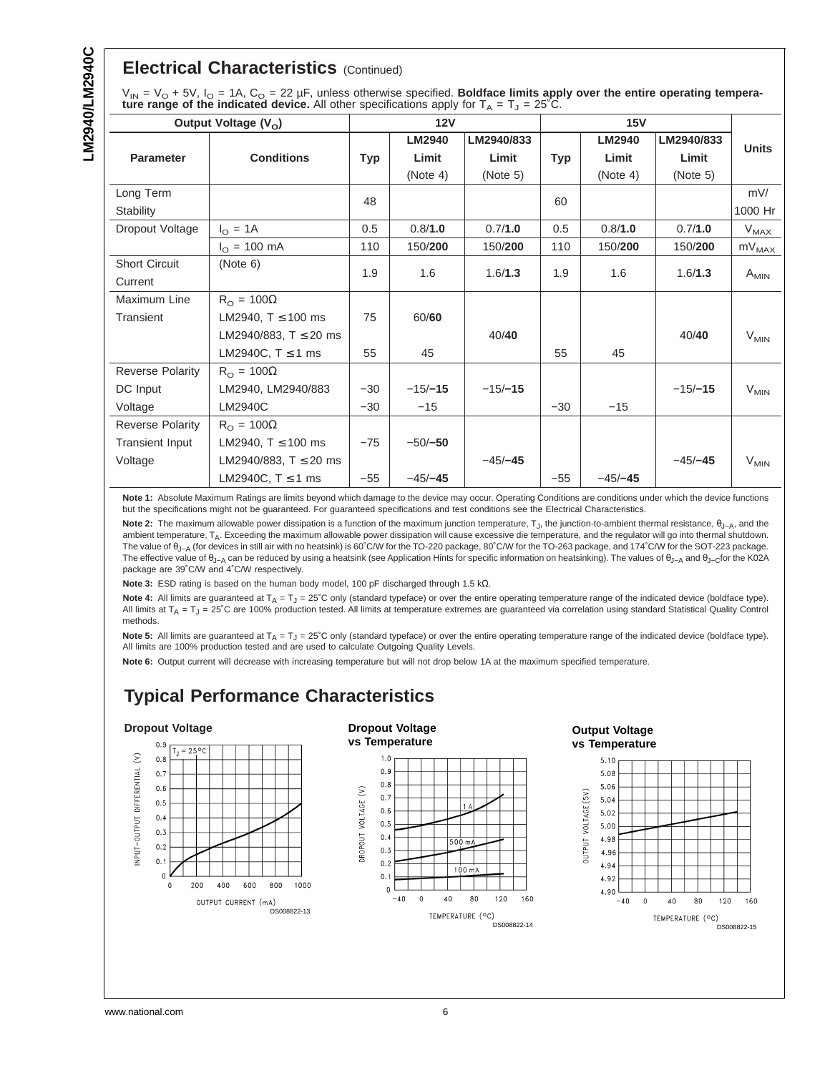# **Electrical Characteristics** (Continued)

| $V_{IN} = V_O + 5V$ , $I_O = 1A$ , $C_O = 22 \mu F$ , unless otherwise specified. Boldface limits apply over the entire operating tempera- |
|--------------------------------------------------------------------------------------------------------------------------------------------|
| <b>ture range of the indicated device.</b> All other specifications apply for $T_A = T_J = 25^{\circ}C$ .                                  |

| Output Voltage (V <sub>o</sub> ) |                               |       | 12V           |            |            |               |            |              |
|----------------------------------|-------------------------------|-------|---------------|------------|------------|---------------|------------|--------------|
|                                  |                               |       | <b>LM2940</b> | LM2940/833 |            | <b>LM2940</b> | LM2940/833 | <b>Units</b> |
| <b>Parameter</b>                 | <b>Conditions</b>             | Typ   | Limit         | Limit      | <b>Typ</b> | Limit         | Limit      |              |
|                                  |                               |       | (Note 4)      | (Note 5)   |            | (Note 4)      | (Note 5)   |              |
| Long Term                        |                               | 48    |               |            | 60         |               |            | mV/          |
| Stability                        |                               |       |               |            |            |               |            | 1000 Hr      |
| Dropout Voltage                  | $I_{\Omega} = 1A$             | 0.5   | 0.8/1.0       | 0.7/1.0    | 0.5        | 0.8/1.0       | 0.7/1.0    | $V_{MAX}$    |
|                                  | $I_{\Omega} = 100 \text{ mA}$ | 110   | 150/200       | 150/200    | 110        | 150/200       | 150/200    | $mV_{MAX}$   |
| <b>Short Circuit</b>             | (Note 6)                      | 1.9   | 1.6           | 1.6/1.3    | 1.9        | 1.6           | 1.6/1.3    |              |
| Current                          |                               |       |               |            |            |               |            | $A_{MIN}$    |
| Maximum Line                     | $R_{\Omega} = 100\Omega$      |       |               |            |            |               |            |              |
| Transient                        | LM2940, $T \le 100$ ms        | 75    | 60/60         |            |            |               |            |              |
|                                  | LM2940/883, $T \le 20$ ms     |       |               | 40/40      |            |               | 40/40      | $V_{MIN}$    |
|                                  | LM2940C, $T \le 1$ ms         | 55    | 45            |            | 55         | 45            |            |              |
| Reverse Polarity                 | $R_{\Omega} = 100\Omega$      |       |               |            |            |               |            |              |
| DC Input                         | LM2940, LM2940/883            | $-30$ | $-15/-15$     | $-15/-15$  |            |               | $-15/-15$  | $V_{MIN}$    |
| Voltage                          | LM2940C                       | $-30$ | $-15$         |            | $-30$      | $-15$         |            |              |
| <b>Reverse Polarity</b>          | $R_{\Omega} = 100\Omega$      |       |               |            |            |               |            |              |
| <b>Transient Input</b>           | LM2940, $T \le 100$ ms        | $-75$ | $-50/-50$     |            |            |               |            |              |
| Voltage                          | LM2940/883, $T \le 20$ ms     |       |               | $-45/-45$  |            |               | $-45/-45$  | $V_{MIN}$    |
|                                  | LM2940C, $T \le 1$ ms         | $-55$ | $-45/-45$     |            | $-55$      | $-45/-45$     |            |              |

Note 1: Absolute Maximum Ratings are limits beyond which damage to the device may occur. Operating Conditions are conditions under which the device functions but the specifications might not be guaranteed. For guaranteed specifications and test conditions see the Electrical Characteristics.

Note 2: The maximum allowable power dissipation is a function of the maximum junction temperature, T<sub>J</sub>, the junction-to-ambient thermal resistance,  $\theta_{J-A}$ , and the ambient temperature,  $T_A$ . Exceeding the maximum allowable power dissipation will cause excessive die temperature, and the regulator will go into thermal shutdown. The value of θ<sub>J−A</sub> (for devices in still air with no heatsink) is 60°C/W for the TO-220 package, 80°C/W for the TO-263 package, and 174°C/W for the SOT-223 package. The effective value of θ<sub>J−A</sub> can be reduced by using a heatsink (see Application Hints for specific information on heatsinking). The values of θ<sub>J−A</sub> and θ<sub>J−C</sub>for the K02A package are 39˚C/W and 4˚C/W respectively.

**Note 3:** ESD rating is based on the human body model, 100 pF discharged through 1.5 kΩ.

Note 4: All limits are guaranteed at  $T_A = T_J = 25$ °C only (standard typeface) or over the entire operating temperature range of the indicated device (boldface type). All limits at  $T_A = T_J = 25^\circ$ C are 100% production tested. All limits at temperature extremes are guaranteed via correlation using standard Statistical Quality Control methods.

Note 5: All limits are guaranteed at T<sub>A</sub> = T<sub>J</sub> = 25°C only (standard typeface) or over the entire operating temperature range of the indicated device (boldface type). All limits are 100% production tested and are used to calculate Outgoing Quality Levels.

**Note 6:** Output current will decrease with increasing temperature but will not drop below 1A at the maximum specified temperature.

# **Typical Performance Characteristics**

#### **Dropout Voltage**

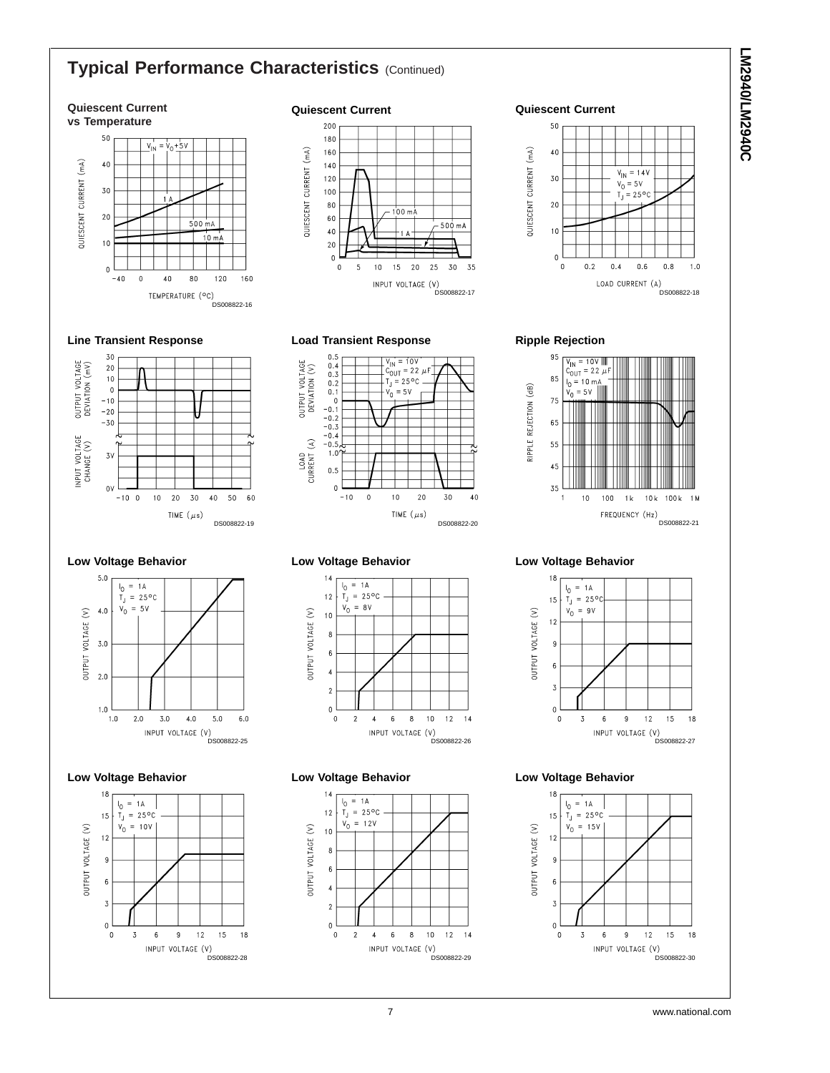# **Typical Performance Characteristics (Continued)**

# **LM2940/LM2940C LM2940/LM2940C**



#### **Quiescent Current**



#### **Load Transient Response**



#### $0.5$ <br> $0.4$ <br> $0.3$ <br> $0.2$ OUTPUT VOLTAGE<br>DEVIATION (V)  $\mathsf{T}_{\mathsf{J}}$  $0.1$  $\overline{v_0}$  $= 5V$  $\frac{1}{\sqrt{2}}$  $-0.1$  $-0.2$ <br> $-0.3$  $-0.4$ <br> $-0.5$ LOAD<br>CURRENT (A)  $1.0$  $0.5$  $\mathbf 0$  $-10$  $\,$  0  $\,$  $10$  $20$ 30  $40$ TIME  $(\mu s)$ DS008822-20

 $V_{\text{IN}} = 10V$ 

 $C_{\text{OUT}}^{\text{max}} = 22 \ \mu \text{K}$ 

 $= 25^{\circ}$ C

#### **Low Voltage Behavior**



#### **Low Voltage Behavior**  $14$



#### **Low Voltage Behavior**



# **Ripple Rejection**

**Quiescent Current**

 $50$ 

40

30

 $20$ 

 $10$ 

 $\pmb{0}$ 

 $\Omega$ 

 $0.2$ 

 $0.4$ 

LOAD CURRENT (A)

QUIESCENT CURRENT (mA)



V<br>DS008822-18

 $1.0$ 

 $0.8$ 

 $V_{IN} = 14V$ 

 $V_0 = 5V$ 

 $T_J = 25^{\circ}$ C

 $0.6$ 

#### **Low Voltage Behavior**



### **Low Voltage Behavior**



## **Low Voltage Behavior**

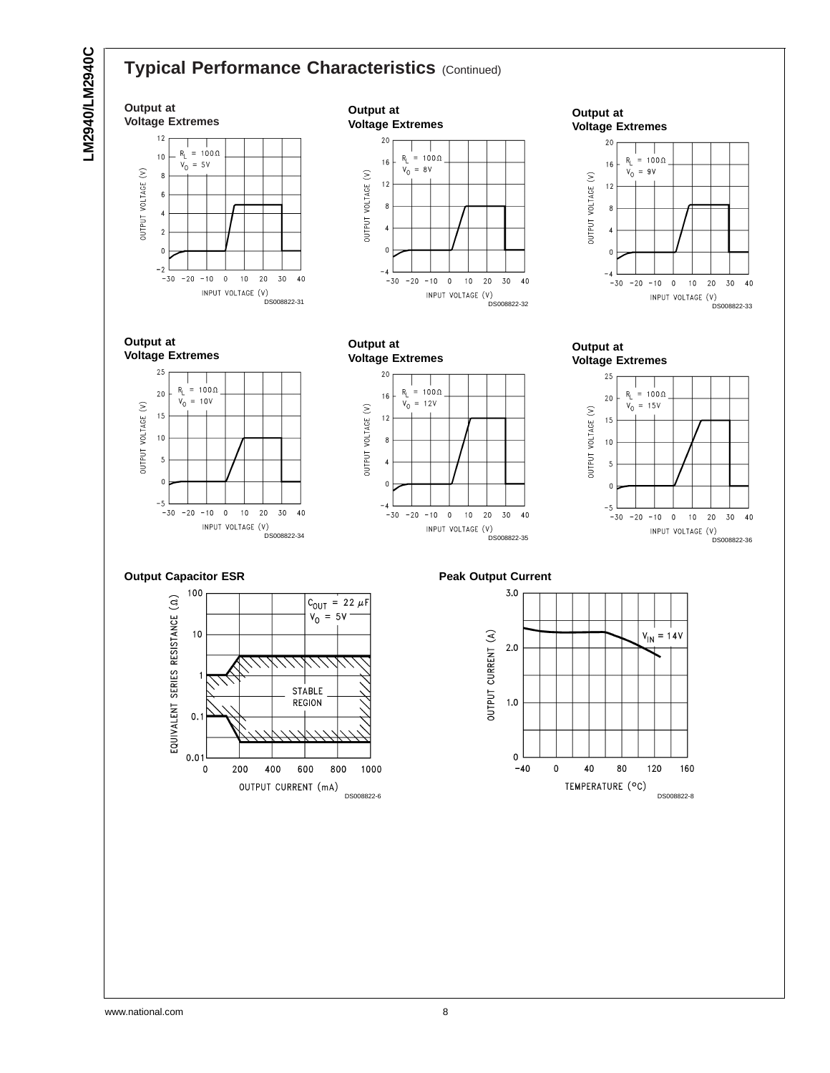

**LM2940/LM2940C**

LM2940/LM2940C

# **Typical Performance Characteristics (Continued)**

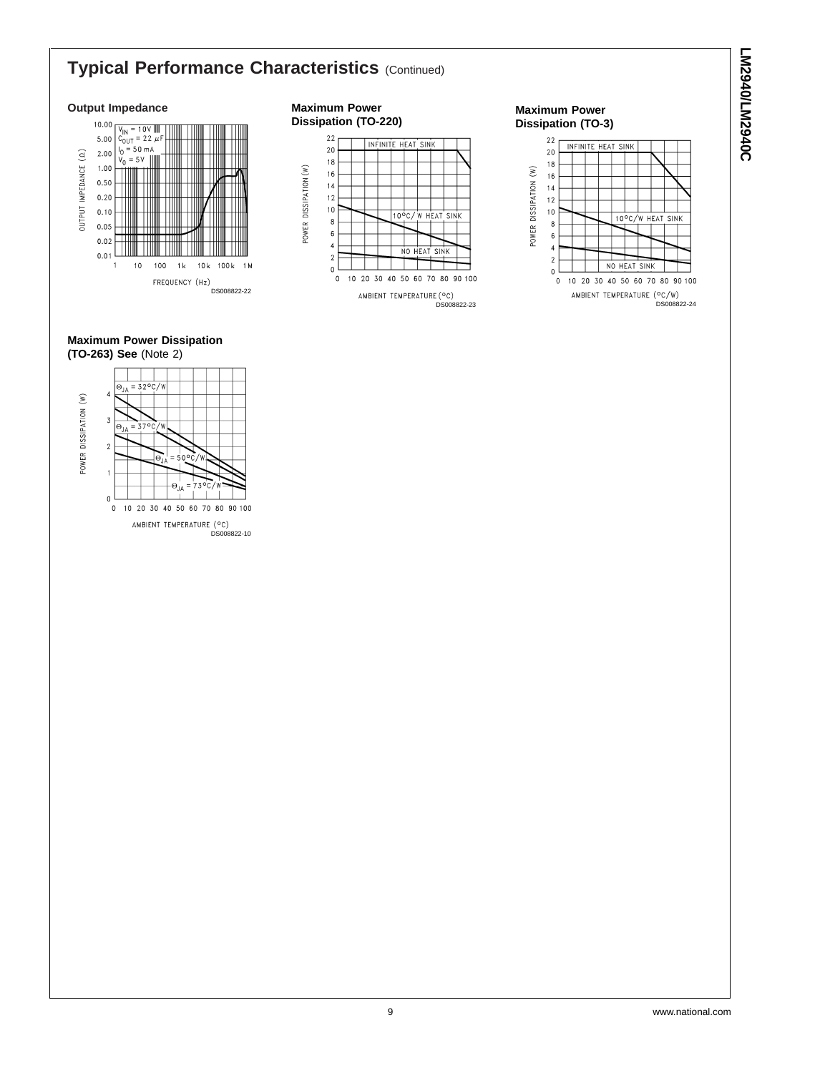# **Typical Performance Characteristics (Continued)**

#### **Output Impedance**



#### **Maximum Power Dissipation (TO-220)**





**LM2940/LM2940C LM2940/LM2940C**

#### **Maximum Power Dissipation (TO-263) See** (Note 2)

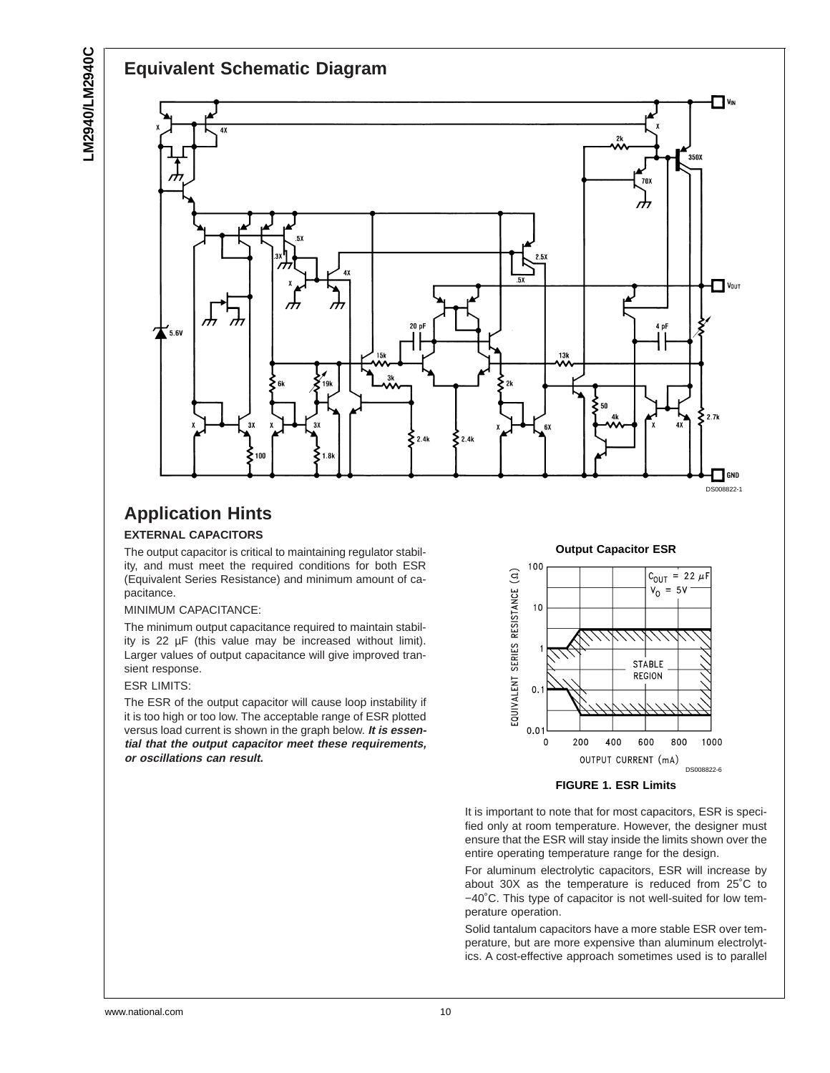

# **Application Hints EXTERNAL CAPACITORS**

The output capacitor is critical to maintaining regulator stability, and must meet the required conditions for both ESR (Equivalent Series Resistance) and minimum amount of ca-

### MINIMUM CAPACITANCE:

The minimum output capacitance required to maintain stability is 22 µF (this value may be increased without limit). Larger values of output capacitance will give improved transient response.

#### ESR LIMITS:

pacitance.

The ESR of the output capacitor will cause loop instability if it is too high or too low. The acceptable range of ESR plotted versus load current is shown in the graph below. **It is essential that the output capacitor meet these requirements, or oscillations can result.**



**FIGURE 1. ESR Limits**

It is important to note that for most capacitors, ESR is specified only at room temperature. However, the designer must ensure that the ESR will stay inside the limits shown over the entire operating temperature range for the design.

For aluminum electrolytic capacitors, ESR will increase by about 30X as the temperature is reduced from 25˚C to −40˚C. This type of capacitor is not well-suited for low temperature operation.

Solid tantalum capacitors have a more stable ESR over temperature, but are more expensive than aluminum electrolytics. A cost-effective approach sometimes used is to parallel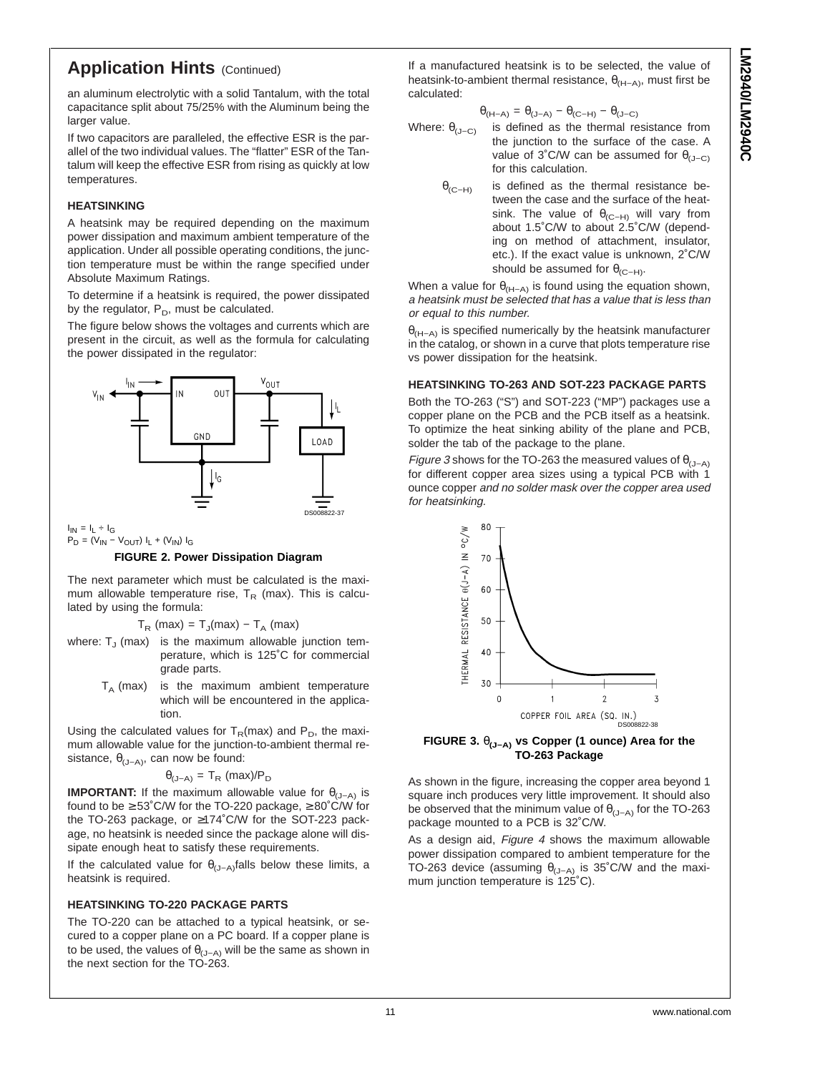# **Application Hints (Continued)**

an aluminum electrolytic with a solid Tantalum, with the total capacitance split about 75/25% with the Aluminum being the larger value.

If two capacitors are paralleled, the effective ESR is the parallel of the two individual values. The "flatter" ESR of the Tantalum will keep the effective ESR from rising as quickly at low temperatures.

#### **HEATSINKING**

A heatsink may be required depending on the maximum power dissipation and maximum ambient temperature of the application. Under all possible operating conditions, the junction temperature must be within the range specified under Absolute Maximum Ratings.

To determine if a heatsink is required, the power dissipated by the regulator,  $P_D$ , must be calculated.

The figure below shows the voltages and currents which are present in the circuit, as well as the formula for calculating the power dissipated in the regulator:



 $I_{IN} = I_L \div I_G$  $\mathsf{P}_{\mathsf{D}} = (\mathsf{V}_{\mathsf{IN}} - \mathsf{V}_{\mathsf{OUT}}) \; \mathsf{I}_{\mathsf{L}} + (\mathsf{V}_{\mathsf{IN}}) \; \mathsf{I}_{\mathsf{G}}$ 

#### **FIGURE 2. Power Dissipation Diagram**

The next parameter which must be calculated is the maximum allowable temperature rise,  $T_R$  (max). This is calculated by using the formula:

 $T_R$  (max) =  $T_J$ (max) –  $T_A$  (max)

- where:  $T_J$  (max) is the maximum allowable junction temperature, which is 125˚C for commercial grade parts.
	- $T_A$  (max) is the maximum ambient temperature which will be encountered in the application.

Using the calculated values for  $T_R(max)$  and  $P_D$ , the maximum allowable value for the junction-to-ambient thermal resistance,  $\theta_{(J-A)}$ , can now be found:

$$
\theta_{(J-A)} = T_R \, (\text{max})/P_D
$$

**IMPORTANT:** If the maximum allowable value for  $\theta_{(J-A)}$  is found to be  $\geq 53^{\circ}$ C/W for the TO-220 package,  $\geq 80^{\circ}$ C/W for the TO-263 package, or ≥174˚C/W for the SOT-223 package, no heatsink is needed since the package alone will dissipate enough heat to satisfy these requirements.

If the calculated value for  $\theta_{(J-A)}$ falls below these limits, a heatsink is required.

### **HEATSINKING TO-220 PACKAGE PARTS**

The TO-220 can be attached to a typical heatsink, or secured to a copper plane on a PC board. If a copper plane is to be used, the values of  $\theta_{(J-A)}$  will be the same as shown in the next section for the TO-263.

If a manufactured heatsink is to be selected, the value of heatsink-to-ambient thermal resistance,  $\theta_{(H-A)}$ , must first be calculated:

$$
\theta_{(H-A)} = \theta_{(J-A)} - \theta_{(C-H)} - \theta_{(J-C)}
$$

- Where:  $\theta_{(J-C)}$  is defined as the thermal resistance from the junction to the surface of the case. A value of 3°C/W can be assumed for  $\theta_{(J-C)}$ for this calculation.
	- $\theta_{(C-H)}$  is defined as the thermal resistance between the case and the surface of the heatsink. The value of  $\theta_{(C-H)}$  will vary from about 1.5˚C/W to about 2.5˚C/W (depending on method of attachment, insulator, etc.). If the exact value is unknown, 2˚C/W should be assumed for  $\theta_{(C-H)}$ .

When a value for  $\theta_{(H-A)}$  is found using the equation shown, a heatsink must be selected that has a value that is less than or equal to this number.

 $\theta_{(H-A)}$  is specified numerically by the heatsink manufacturer in the catalog, or shown in a curve that plots temperature rise vs power dissipation for the heatsink.

#### **HEATSINKING TO-263 AND SOT-223 PACKAGE PARTS**

Both the TO-263 ("S") and SOT-223 ("MP") packages use a copper plane on the PCB and the PCB itself as a heatsink. To optimize the heat sinking ability of the plane and PCB, solder the tab of the package to the plane.

Figure 3 shows for the TO-263 the measured values of  $\theta_{(J-A)}$ for different copper area sizes using a typical PCB with 1 ounce copper and no solder mask over the copper area used for heatsinking.



**FIGURE 3.** θ**(J−A) vs Copper (1 ounce) Area for the TO-263 Package**

As shown in the figure, increasing the copper area beyond 1 square inch produces very little improvement. It should also be observed that the minimum value of  $\theta_{(J-A)}$  for the TO-263 package mounted to a PCB is 32˚C/W.

As a design aid, Figure 4 shows the maximum allowable power dissipation compared to ambient temperature for the TO-263 device (assuming  $\theta_{(J-A)}$  is 35°C/W and the maximum junction temperature is 125˚C).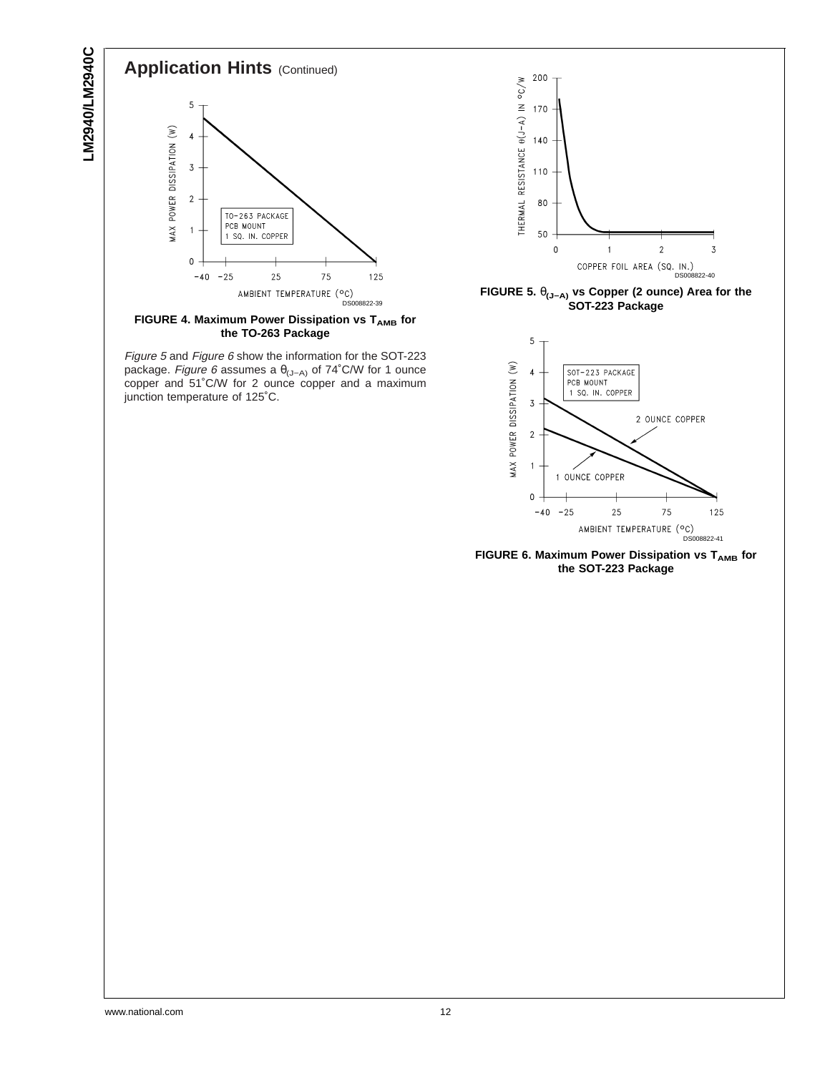LM2940/LM2940C **LM2940/LM2940C**



**FIGURE 4. Maximum Power Dissipation vs TAMB** for **the TO-263 Package**

Figure <sup>5</sup> and Figure 6 show the information for the SOT-223 package. Figure 6 assumes a  $\theta_{(J-A)}$  of 74°C/W for 1 ounce copper and 51˚C/W for 2 ounce copper and a maximum junction temperature of 125˚C.



**FIGURE 5.** θ**(J−A) vs Copper (2 ounce) Area for the SOT-223 Package**



**FIGURE 6. Maximum Power Dissipation vs TAMB** for **the SOT-223 Package**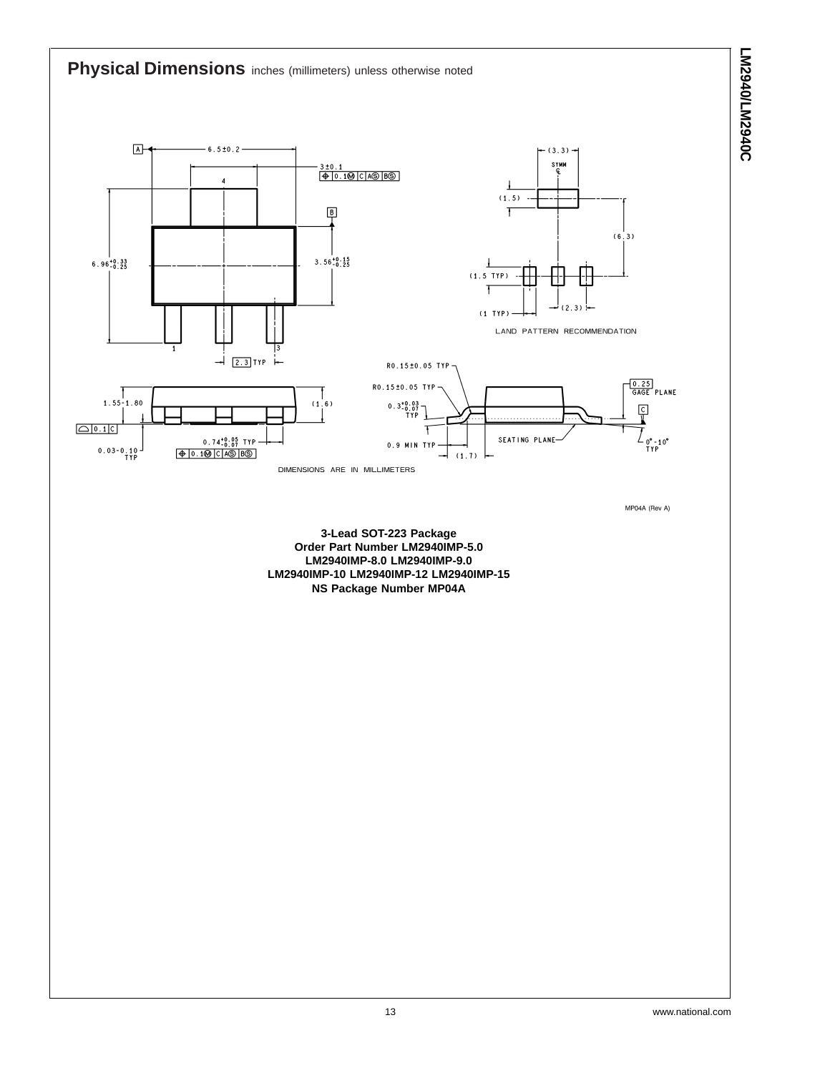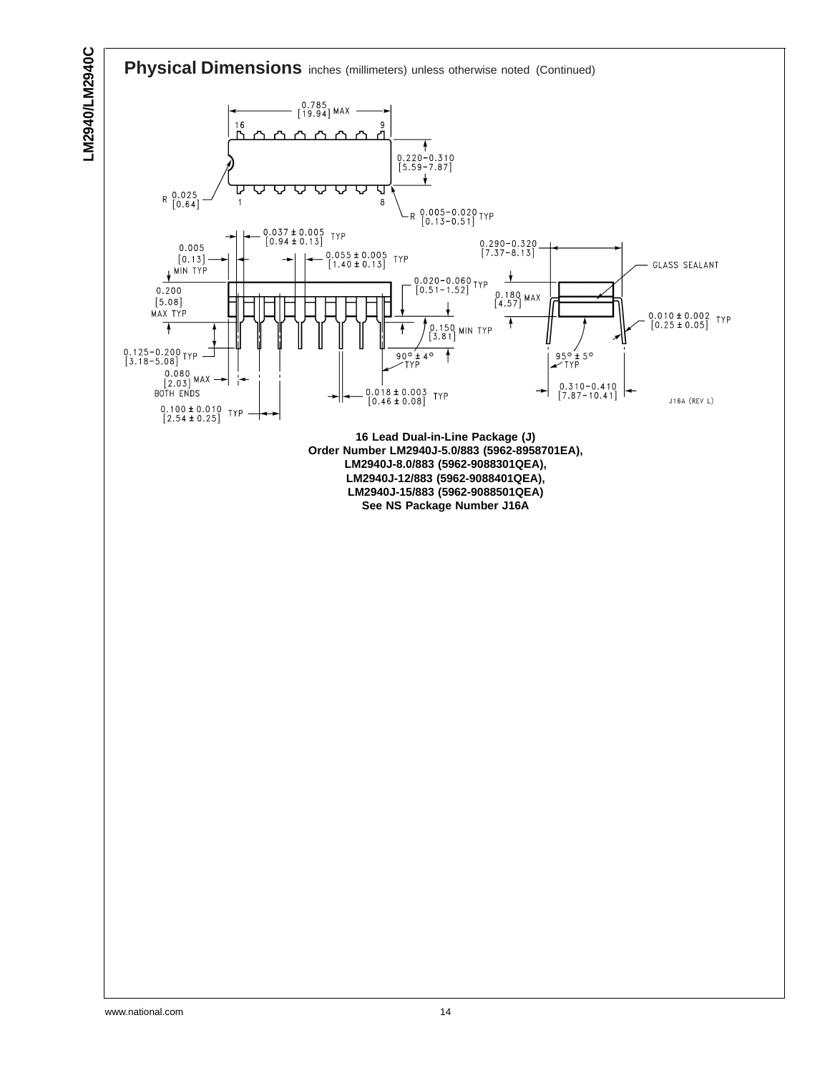# LM2940/LM2940C **LM2940/LM2940C**

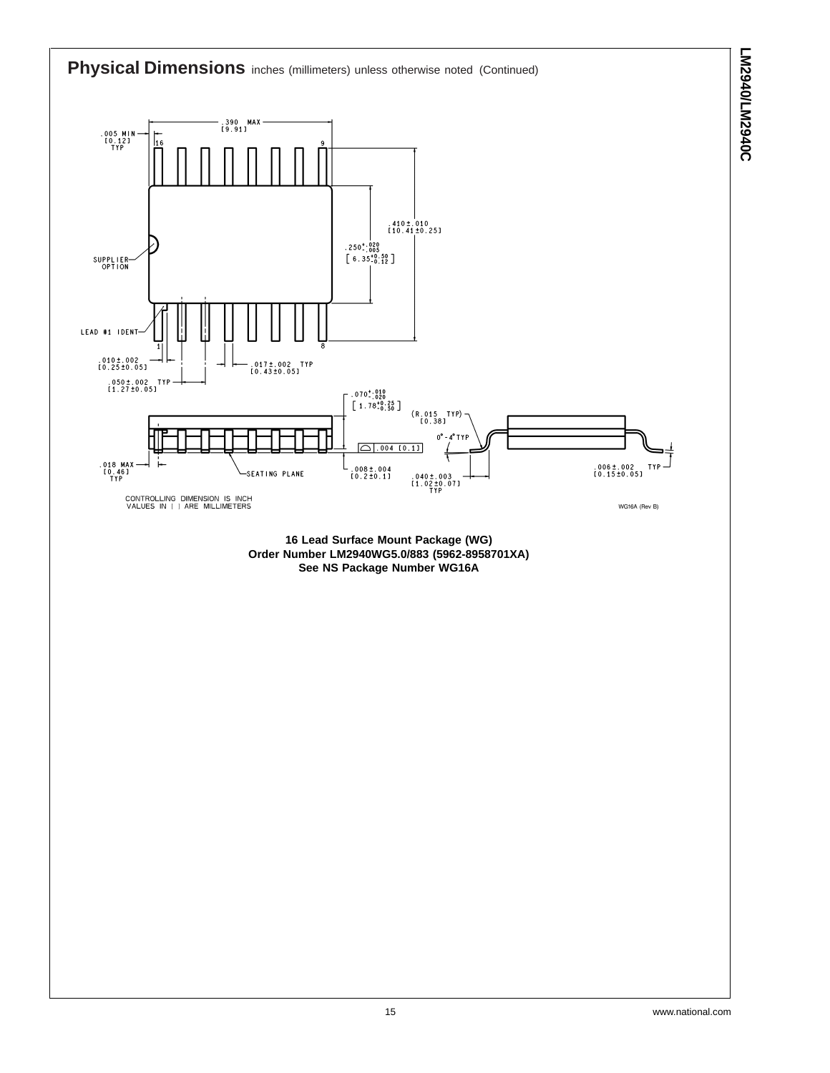

**LM2940/LM2940C**

**LM2940/LM2940C**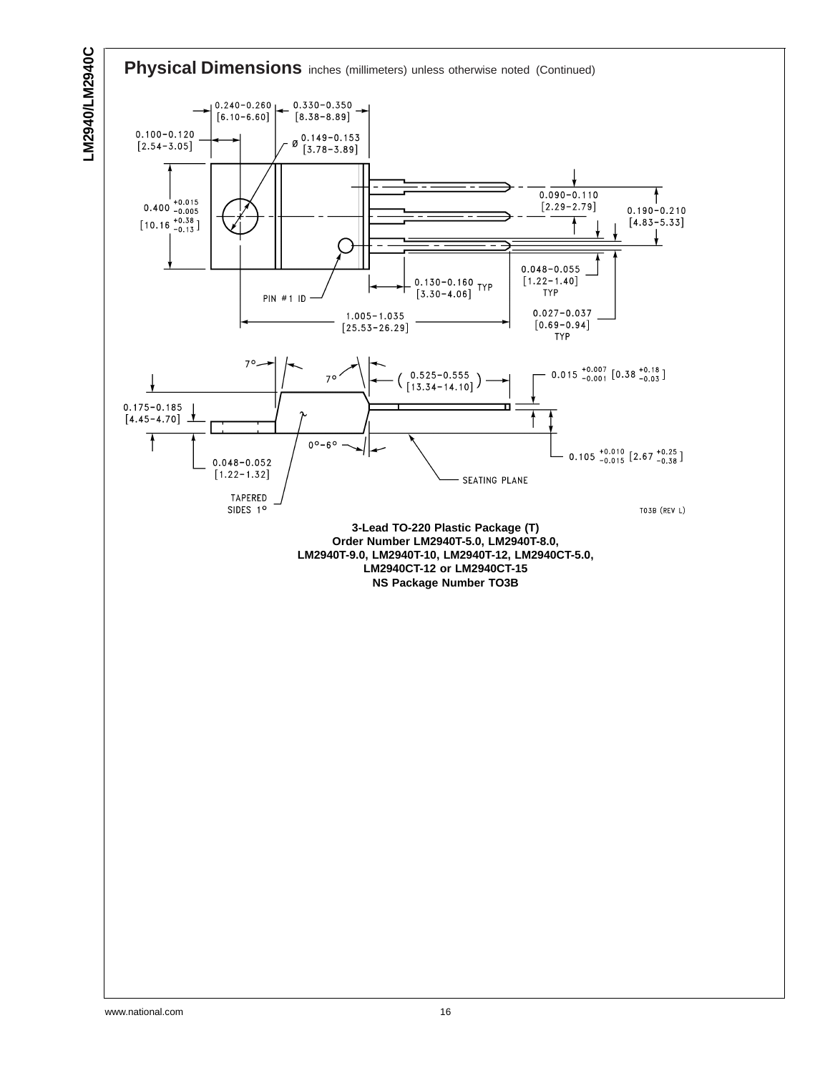

↑

TO3B (REV L)